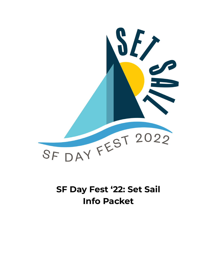

# **SF Day Fest '22: Set Sail Info Packet**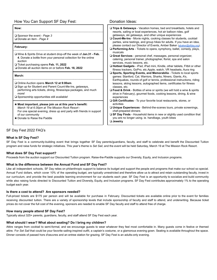## How You Can Support SF Day Fest: Donation Ideas:

| Now:                                                                                                                                                                                                                                                   | Trips & Getaways - Vacation homes, bed and breakfasts, hotels and<br>resorts, sailing or boat experiences, hot air balloon rides, golf                                                                                                                                                                                                               |
|--------------------------------------------------------------------------------------------------------------------------------------------------------------------------------------------------------------------------------------------------------|------------------------------------------------------------------------------------------------------------------------------------------------------------------------------------------------------------------------------------------------------------------------------------------------------------------------------------------------------|
| $\Box$ Sponsor the event - Page 3<br>$\Box$ Donate an item - Page 4                                                                                                                                                                                    | getaways, ski getaways, and other unique experiences<br>□ Count-Me-Ins - Movie nights, cooking classes for students, cocktail<br>parties, wine tastings, and group hikes for adults. If you have an idea,                                                                                                                                            |
| February:                                                                                                                                                                                                                                              | please contact our Director of Events, Amber Baker (abaker@sfday.org).<br><b>Derforming Arts</b> - Tickets to opera, symphony, ballet, comedy, plays,                                                                                                                                                                                                |
| □ Wine & Spirits Drive at student drop-off the week of Jan.31 - Feb.<br>4. Donate a bottle from your personal collection for the online<br>auction<br>□ Ticket purchasing opens Feb. 11, 2022<br>□ Donate all auction items on or before Feb. 18, 2022 | musicals<br>□ Great Services - personal chef, massages, personal organizer,<br>catering, personal trainer, photographer, florist, spa and salon<br>services, music lessons, etc.<br><b>Q Hottest Gadgets</b> - iPad, iPad mini, Kindle, other tablets, Fitbit or other<br>fitness trackers, GoPro, etc.Apple, watch, VR headsets, Aura ring          |
| March:                                                                                                                                                                                                                                                 | □ Sports, Sporting Events, and Memorabilia - Tickets to local sports<br>games: Stanford, Cal, Warriors, Sharks, Niners, Giants, A's,<br>Earthquakes, rounds of golf or tennis, professional instructions, riding                                                                                                                                     |
| □ Online Auction opens March 12 at 9:00am.<br>□ Sign up for Student and Parent Count-Me-Ins, getaways,<br>performing arts tickets, dining, fitness/spa packages, and much<br>more!<br>□ Sponsorship opportunities still available!                     | lessons, skiing lessons, autographed items, certificates for fitness<br>classes, etc.<br>$\Box$ Food & Drink - Bottles of wine or spirits (we will hold a wine & spirits<br>drive in February), gourmet foods, cooking lessons, dining, & wine<br>experiences                                                                                        |
| $\star$ Most important, please join us at this year's benefit:<br>March 19 at 6:30pm at The Mission Rock Resort -<br>For one special evening, dress up and party with friends in support<br>of our community<br>★ Donate to Raise the Paddle           | <b>Gift Certificates</b> - To your favorite local restaurants, stores, or<br>activities<br><b>Unique Experiences</b> - Behind-the-scenes tours, private screenings,<br>chef-prepared dinners<br>$\Box$ SF Day Finds - Household items in new or slightly used condition that<br>you are no longer using. ie. handbags, youth bikes<br><b>Jewelry</b> |

### SF Day Fest 2022 FAQ's

#### **What is SF Day Fest?**

SF Day Fest is a community-building event that brings together SF Day parents/guardians, faculty, and staff to celebrate and benefit the Discounted Tuition program and raise funds for strategic initiatives. This year's theme is *Set Sail*, and the event will be held Saturday, March 19 at The Mission Rock Resort.

#### **What does SF Day Fest support?**

Proceeds from the auction support our Discounted Tuition program. Raise-the-Paddle supports our Diversity, Equity, and Inclusion programs.

#### **What is the difference between the Annual Fund and SF Day Fest?**

Like all independent schools, SF Day relies on philanthropic support to balance its budget and support the people and programs that make our school so special. Annual Fund dollars, which cover 10% of the operating budget, are typically unrestricted and therefore allow us to attract and retain outstanding faculty, invest in our curriculum, and provide the best possible learning environment for our students each year. SF Day Fest is an opportunity to socialize and build community while also raising funds directed to Discounted Tuition and Diversity, Equity, and Inclusion programs. SF Day Fest contributes approximately 1% to the operating budget each year.

#### **Is there a cost to attend? Are sponsors needed?**

Full-priced tickets are \$175 per person and will be available for purchase in February. Discounted tickets are available online prior to the event for families receiving discounted tuition. There are a variety of sponsorship levels that include sponsorship of faculty and staff to attend, and underwriting. Because ticket prices do not cover the full cost of the evening, sponsors are needed to enable SF Day faculty and staff to attend free of charge.

#### **How many people attend SF Day Fest?**

Typically about 325+ parents, guardians, faculty, and staff attend SF Day Fest each year.

#### **What should I wear? What about seating? Do I bring my children?**

Attire ranges from cocktail to semi-formal, and we encourage guests to wear whatever they feel most comfortable in. Many guests come in festive or themed attire. For *Set Sail* that could be your favorite sailing-inspired outfit, a captain's costume, or a glamorous evening gown. Seating is available throughout the space. Dinner consists of passed hors d'oeuvres and an entree station for grazing. SF Day Fest is an adults-only evening.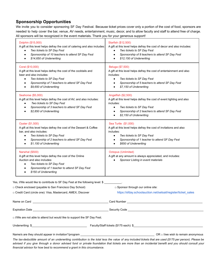# **Sponsorship Opportunities**

We invite you to consider sponsoring SF Day Festival. Because ticket prices cover only a portion of the cost of food, sponsors are needed to help cover the bar, venue, AV needs, entertainment, music, decor, and to allow faculty and staff to attend free of charge. All sponsors will be recognized in the event materials. Thank you for your generous support!

|                                                                                                                                                                                                                                                                      | The tax-deductible amount of an underwriting contribution is the total less the value of any included tickets that are used (\$175 per person). Please be<br>advised if you give through a donor advised fund or private foundation that tickets are more than an incidental benefit and you should consult your |  |  |
|----------------------------------------------------------------------------------------------------------------------------------------------------------------------------------------------------------------------------------------------------------------------|------------------------------------------------------------------------------------------------------------------------------------------------------------------------------------------------------------------------------------------------------------------------------------------------------------------|--|--|
|                                                                                                                                                                                                                                                                      |                                                                                                                                                                                                                                                                                                                  |  |  |
|                                                                                                                                                                                                                                                                      |                                                                                                                                                                                                                                                                                                                  |  |  |
| □ I/We are not able to attend but would like to support the SF Day Fest.                                                                                                                                                                                             |                                                                                                                                                                                                                                                                                                                  |  |  |
|                                                                                                                                                                                                                                                                      | Expiration Date expansion of the security Code expiration Date expiration Date expiration Date expiration of the security Code experiments are seen as a security Code of the security Code of the security Code of the securi                                                                                   |  |  |
|                                                                                                                                                                                                                                                                      | Name on Card <b>Contract Contract Contract Contract Contract Contract Contract Contract Contract Contract Contract Contract Contract Contract Contract Contract Contract Contract Contract Contract Contract Contract Contract C</b>                                                                             |  |  |
| □ Credit Card (circle one): Visa, Mastercard, AMEX, Discover                                                                                                                                                                                                         | https://sfday.schoolauction.net/setsail/register/ticket_sales                                                                                                                                                                                                                                                    |  |  |
| □ Check enclosed (payable to San Francisco Day School)                                                                                                                                                                                                               | □ Sponsor through our online site:                                                                                                                                                                                                                                                                               |  |  |
| Yes, I/We would like to contribute to SF Day Fest at the following level: \$                                                                                                                                                                                         |                                                                                                                                                                                                                                                                                                                  |  |  |
| Narwhal (\$500)<br>A gift at this level helps defray the cost of the Online<br>Auction and also includes:<br>Two tickets to SF Day Fest<br>$\bullet$<br>Sponsorship of 1 teacher to attend SF Day Fest<br>\$150 of Underwriting<br>$\bullet$                         | Octopus (Unlimited)<br>A gift at any amount is always appreciated, and includes:<br>Sponsor Listing in event materials                                                                                                                                                                                           |  |  |
| Oyster (\$1,500)<br>A gift at this level helps defray the cost of the Dessert & Coffee<br>bar, and also includes:<br>Two tickets to SF Day Fest<br>$\bullet$<br>Sponsorship of 2 teachers to attend SF Day Fest<br>$\bullet$<br>\$1,150 of Underwriting<br>$\bullet$ | Sea Turtle (\$1,000)<br>A gift at this level helps defray the cost of invitations and also<br>includes:<br>Two tickets to SF Day Fest<br>$\bullet$<br>Sponsorship of 1 teacher to attend SF Day Fest<br>$\bullet$<br>\$650 of Underwriting<br>$\bullet$                                                          |  |  |
| Seahorse (\$5,000)<br>A gift at this level helps defray the cost of AV, and also includes:<br>Two tickets to SF Day Fest<br>$\bullet$<br>Sponsorship of 3 teachers to attend SF Day Fest<br>$\bullet$<br>\$2,850 of Underwriting<br>$\bullet$                        | Angelfish (\$2,500)<br>A gift at this level helps defray the cost of event lighting and also<br>includes:<br>Two tickets to SF Day Fest<br>$\bullet$<br>Sponsorship of 2 teachers to attend SF Day Fest<br>$\bullet$<br>\$2,150 of Underwriting                                                                  |  |  |
| Coral (\$10,000)<br>A gift at this level helps defray the cost of the cocktails and<br>beer and also includes:<br>Two tickets to SF Day Fest<br>Sponsorship of 7 teachers to attend SF Day Fest<br>$\bullet$<br>\$9,650 of Underwriting<br>$\bullet$                 | Beluga (\$7,500)<br>A gift at this level helps defray the cost of entertainment and also<br>includes:<br>Two tickets to SF Day Fest<br>$\bullet$<br>Sponsorship of 5 teachers to attend SF Day Fest<br>\$7,150 of Underwriting<br>$\bullet$                                                                      |  |  |
| Dolphin (\$15,000)<br>A gift at this level helps defray the cost of catering and also includes:<br>Two tickets to SF Day Fest<br>Sponsorship of 10 teachers to attend SF Day Fest<br>$\bullet$<br>\$14,650 of Underwriting                                           | Starfish (\$12,500)<br>A gift at this level helps defray the cost of decor and also includes:<br>Two tickets to SF Day Fest<br>Sponsorship of 8 teachers to attend SF Day Fest<br>$\bullet$<br>\$12,150 of Underwriting<br>$\bullet$                                                                             |  |  |

*financial advisor for how best to recommend a grant in this circumstance.*